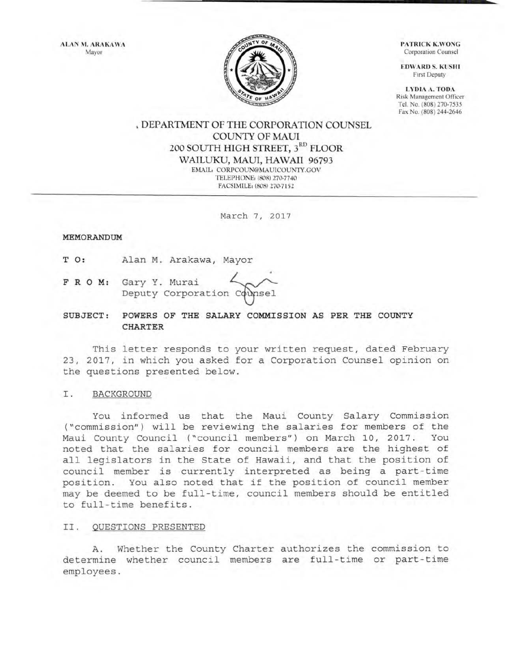ALAN M. ARAKAWA Mayor



PATRICK K.WONG Corporation Counsel

**EDWARD S. KUSHI** First Deputy

LYDIA A. TOO.\ Risk Management Officer Tel. No. (808) 270-7535 Fax No. (808) 244-2646

# • DEPARTMENT OF THE CORPORATION COUNSEL COUNTY OF MAUl 200 SOUTH HIGH STREET,  $\boldsymbol{3}^{\text{RD}}$  FLOOR WAILUKU, MAUI, HAWAII 96793 EMAIL: CORPCOUN@MAUICOUNTY.GOV TELEPHONE: (808) 270-7740

FACSIMtLE: (808) 270-7152

March 7, 2017

#### MEMORANDUM

T 0: Alan M. Arakawa, Mayor

F R 0 M: Gary Y. Deputy Corporation Counsel Arakawa, Mayor<br>Murai <br/><br>Corporation Counsel

SUBJECT: POWERS OF THE SALARY COMMISSION AS PER THE COUNTY CHARTER

This letter responds to your written request, dated February 23, 2017, in which you asked for a Corporation Counsel opinion on the questions presented below.

## I. BACKGROUND

You informed us that the Maui County Salary Commission ("commission") will be reviewing the salaries for members of the Maui County Council ("council members") on March 10, 2017. You noted that the salaries for council members are the highest of all legislators in the State of Hawaii, and that the position of council member is currently interpreted as being a part-time position. You also noted that if the position of council member may be deemed to be full-time, council members should be entitled to full-time benefits.

#### II. QUESTIONS PRESENTED

A. Whether the County Charter authorizes the commission to determine whether council members are full-time or part-time employees .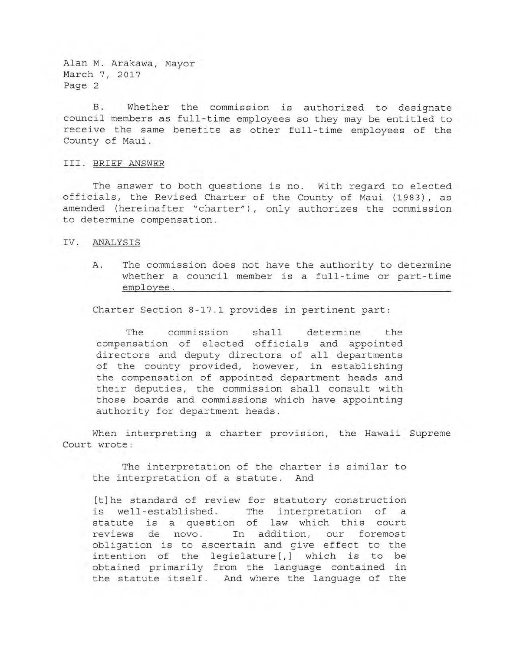Alan M. Arakawa, Mayor March 7, 2017 Page 2

B. Whether the commission is authorized to designate council members as full-time employees so they may be entitled to receive the same benefits as other full-time employees of the County of Maui.

### III. BRIEF ANSWER

The answer to both questions is no. With regard to elected officials, the Revised Charter of the County of Maui (1983), as amended (hereinafter "charter") , only authorizes the commission to determine compensation .

### IV. ANALYSIS

A. The commission does not have the authority to determine whether a council member is a full-time or part-time employee .

Charter Section 8-17.1 provides in pertinent part:

The commission shall determine the compensation of elected officials and appointed directors and deputy directors of all departments of the county provided, however, in establishing the compensation of appointed department heads and their deputies, the commission shall consult with those boards and commissions which have appointing authority for department heads.

When interpreting a charter provision, the Hawaii Supreme Court wrote:

The interpretation of the charter is similar to the interpretation of a statute. And

[t]he standard of review for statutory construction is well-established. The interpretation of a statute is a question of law which this court reviews de novo. In addition, our foremost obligation is to ascertain and give effect to the intention of the legislature[,] which is to be obtained primarily from the language contained in the statute itself. And where the language of the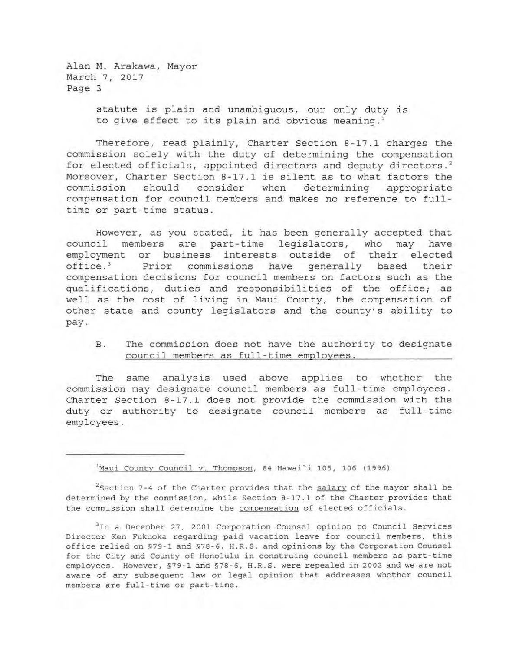Alan M. Arakawa, Mayor March 7, 2017 Page 3

> statute is plain and unambiguous, our only duty is to give effect to its plain and obvious meaning.<sup>1</sup>

Therefore, read plainly, Charter Section 8-17.1 charges the commission solely with the duty of determining the compensation for elected officials, appointed directors and deputy directors.<sup>2</sup> Moreover, Charter Section 8-17.1 is silent as to what factors the commission should consider when determining appropriate commission should consider when determining appropriate compensation for council members and makes no reference to full time or part-time status.

However, as you stated, it has been generally accepted that council members are part-time legislators, who may have legislators, who may have employment or business interests outside of their elected<br>office.<sup>3</sup> Prior commissions have generally based their Prior commissions have generally based their compensation decisions for council members on factors such as the qualifications, duties and responsibilities of the office; as well as the cost of living in Maui County, the compensation of other state and county legislators and the county's ability to pay.

# B. The commission does not have the authority to designate council members as full-time employees .

The same analysis used above applies to whether the commission may designate council members as full-time employees. Charter Section 8-17.1 does not provide the commission with the duty or authority to designate council members as full-time employees.

 $1$ Maui County Council v. Thompson, 84 Hawai'i 105, 106 (1996)

 $2$ Section 7-4 of the Charter provides that the  $salary$  of the mayor shall be determined by the commission, while Section 8-17.1 of the Charter provides that the commission shall determine the compensation of elected officials.

<sup>3</sup>In a December 27, 2001 Corporation Counsel opinion to Council Services Director Ken Fukuoka regarding paid vacation leave for council members, this office relied on §79-1 and §78-6, H.R.S. and opinions by the Corporation Counsel for the City and County of Honolulu *in* construing council members as part- time employees. However, §79-1 and §78-6, H.R.S. were repealed in 2002 and we are not aware of any subsequent law *or* legal opinion that addresses whether council members are full - time *or* part-time.